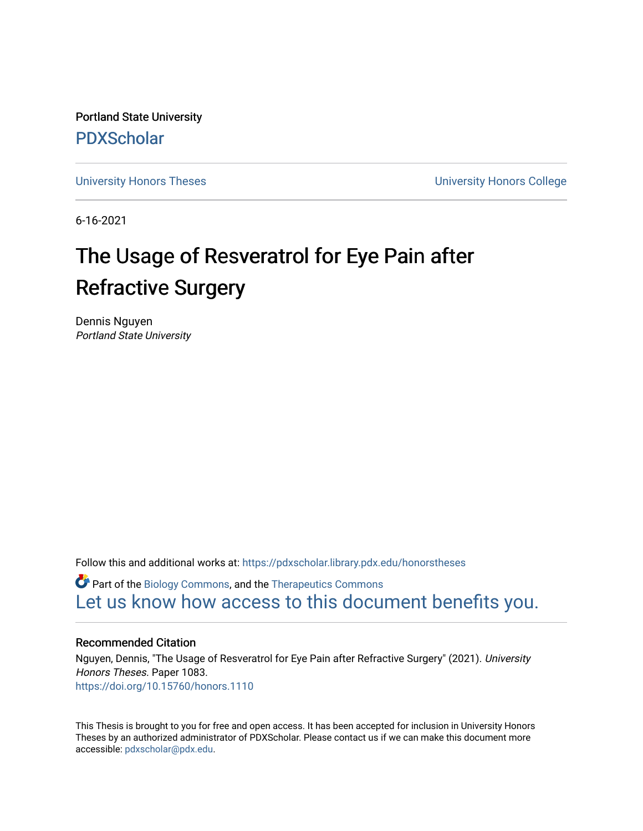Portland State University [PDXScholar](https://pdxscholar.library.pdx.edu/)

[University Honors Theses](https://pdxscholar.library.pdx.edu/honorstheses) [University Honors College](https://pdxscholar.library.pdx.edu/honors) 

6-16-2021

# The Usage of Resveratrol for Eye Pain after Refractive Surgery

Dennis Nguyen Portland State University

Follow this and additional works at: [https://pdxscholar.library.pdx.edu/honorstheses](https://pdxscholar.library.pdx.edu/honorstheses?utm_source=pdxscholar.library.pdx.edu%2Fhonorstheses%2F1083&utm_medium=PDF&utm_campaign=PDFCoverPages) 

Part of the [Biology Commons,](http://network.bepress.com/hgg/discipline/41?utm_source=pdxscholar.library.pdx.edu%2Fhonorstheses%2F1083&utm_medium=PDF&utm_campaign=PDFCoverPages) and the [Therapeutics Commons](http://network.bepress.com/hgg/discipline/993?utm_source=pdxscholar.library.pdx.edu%2Fhonorstheses%2F1083&utm_medium=PDF&utm_campaign=PDFCoverPages) [Let us know how access to this document benefits you.](http://library.pdx.edu/services/pdxscholar-services/pdxscholar-feedback/) 

# Recommended Citation

Nguyen, Dennis, "The Usage of Resveratrol for Eye Pain after Refractive Surgery" (2021). University Honors Theses. Paper 1083. <https://doi.org/10.15760/honors.1110>

This Thesis is brought to you for free and open access. It has been accepted for inclusion in University Honors Theses by an authorized administrator of PDXScholar. Please contact us if we can make this document more accessible: [pdxscholar@pdx.edu.](mailto:pdxscholar@pdx.edu)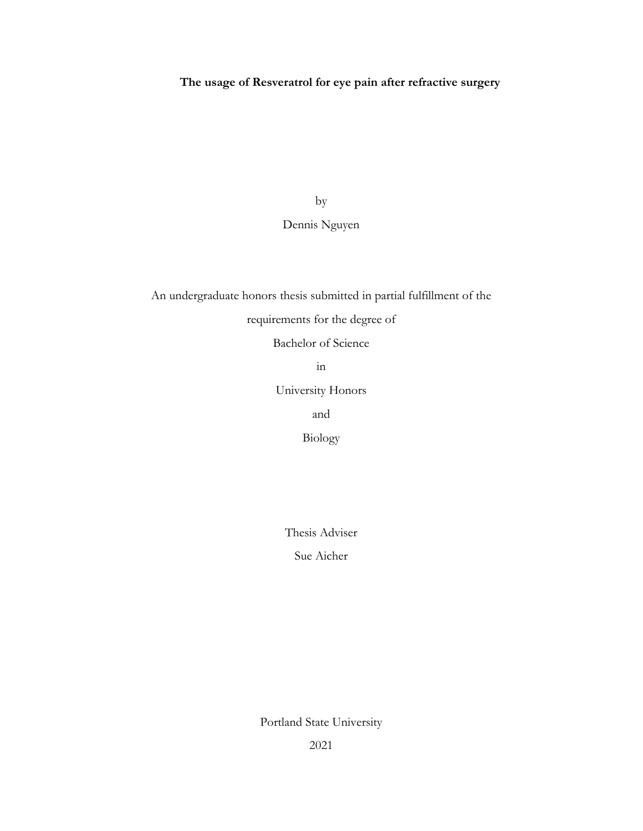# **The usage of Resveratrol for eye pain after refractive surgery**

by

# Dennis Nguyen

An undergraduate honors thesis submitted in partial fulfillment of the

requirements for the degree of

Bachelor of Science

in

University Honors

and

Biology

Thesis Adviser

Sue Aicher

Portland State University

2021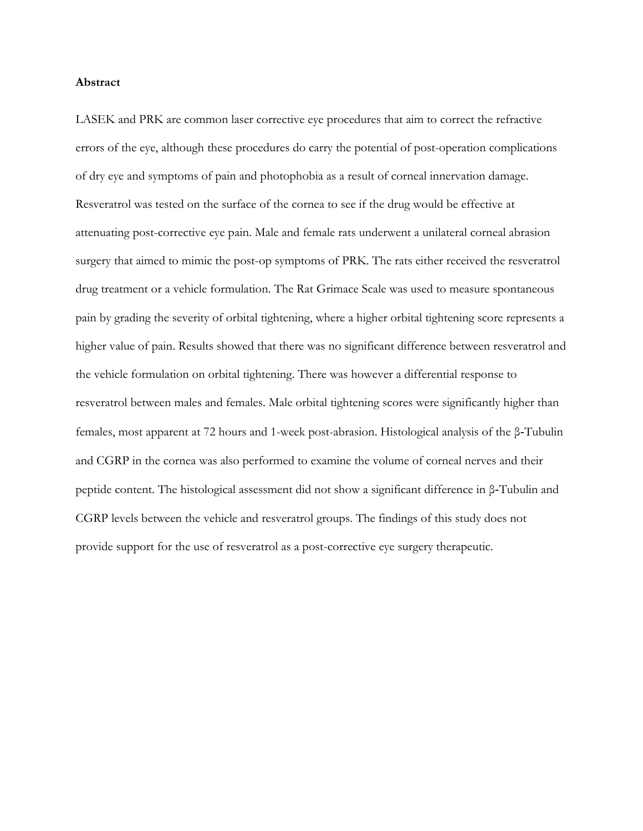## **Abstract**

LASEK and PRK are common laser corrective eye procedures that aim to correct the refractive errors of the eye, although these procedures do carry the potential of post-operation complications of dry eye and symptoms of pain and photophobia as a result of corneal innervation damage. Resveratrol was tested on the surface of the cornea to see if the drug would be effective at attenuating post-corrective eye pain. Male and female rats underwent a unilateral corneal abrasion surgery that aimed to mimic the post-op symptoms of PRK. The rats either received the resveratrol drug treatment or a vehicle formulation. The Rat Grimace Scale was used to measure spontaneous pain by grading the severity of orbital tightening, where a higher orbital tightening score represents a higher value of pain. Results showed that there was no significant difference between resveratrol and the vehicle formulation on orbital tightening. There was however a differential response to resveratrol between males and females. Male orbital tightening scores were significantly higher than females, most apparent at 72 hours and 1-week post-abrasion. Histological analysis of the β‐Tubulin and CGRP in the cornea was also performed to examine the volume of corneal nerves and their peptide content. The histological assessment did not show a significant difference in β‐Tubulin and CGRP levels between the vehicle and resveratrol groups. The findings of this study does not provide support for the use of resveratrol as a post-corrective eye surgery therapeutic.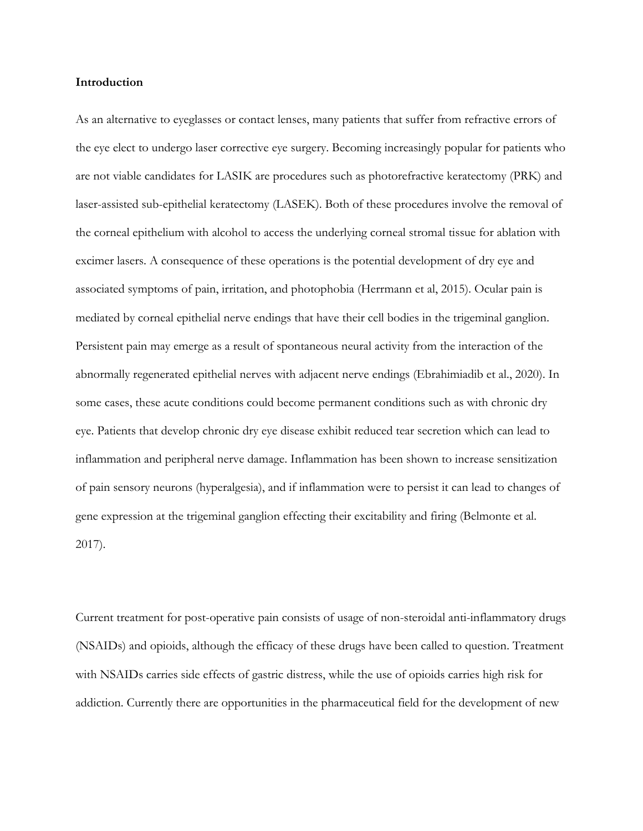## **Introduction**

As an alternative to eyeglasses or contact lenses, many patients that suffer from refractive errors of the eye elect to undergo laser corrective eye surgery. Becoming increasingly popular for patients who are not viable candidates for LASIK are procedures such as photorefractive keratectomy (PRK) and laser-assisted sub-epithelial keratectomy (LASEK). Both of these procedures involve the removal of the corneal epithelium with alcohol to access the underlying corneal stromal tissue for ablation with excimer lasers. A consequence of these operations is the potential development of dry eye and associated symptoms of pain, irritation, and photophobia (Herrmann et al, 2015). Ocular pain is mediated by corneal epithelial nerve endings that have their cell bodies in the trigeminal ganglion. Persistent pain may emerge as a result of spontaneous neural activity from the interaction of the abnormally regenerated epithelial nerves with adjacent nerve endings (Ebrahimiadib et al., 2020). In some cases, these acute conditions could become permanent conditions such as with chronic dry eye. Patients that develop chronic dry eye disease exhibit reduced tear secretion which can lead to inflammation and peripheral nerve damage. Inflammation has been shown to increase sensitization of pain sensory neurons (hyperalgesia), and if inflammation were to persist it can lead to changes of gene expression at the trigeminal ganglion effecting their excitability and firing (Belmonte et al. 2017).

Current treatment for post-operative pain consists of usage of non-steroidal anti-inflammatory drugs (NSAIDs) and opioids, although the efficacy of these drugs have been called to question. Treatment with NSAIDs carries side effects of gastric distress, while the use of opioids carries high risk for addiction. Currently there are opportunities in the pharmaceutical field for the development of new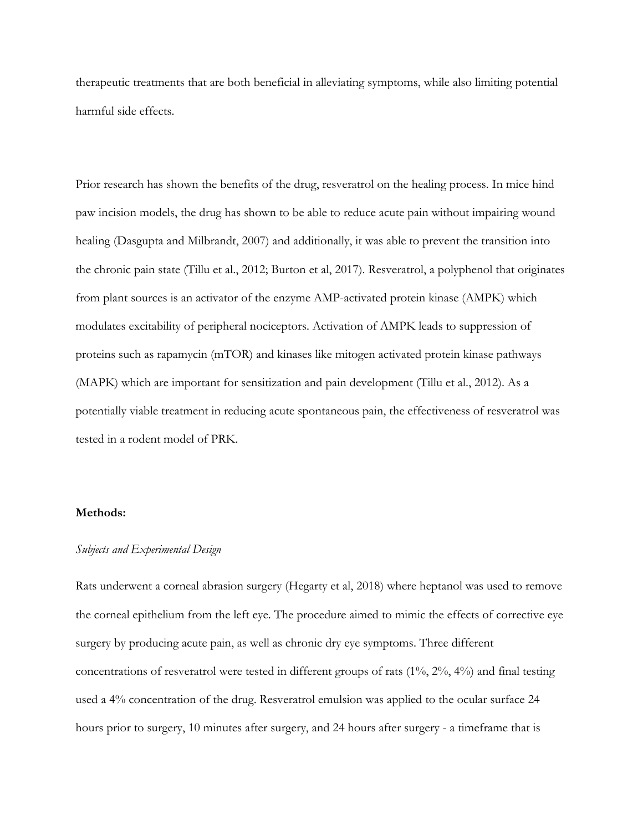therapeutic treatments that are both beneficial in alleviating symptoms, while also limiting potential harmful side effects.

Prior research has shown the benefits of the drug, resveratrol on the healing process. In mice hind paw incision models, the drug has shown to be able to reduce acute pain without impairing wound healing (Dasgupta and Milbrandt, 2007) and additionally, it was able to prevent the transition into the chronic pain state (Tillu et al., 2012; Burton et al, 2017). Resveratrol, a polyphenol that originates from plant sources is an activator of the enzyme AMP-activated protein kinase (AMPK) which modulates excitability of peripheral nociceptors. Activation of AMPK leads to suppression of proteins such as rapamycin (mTOR) and kinases like mitogen activated protein kinase pathways (MAPK) which are important for sensitization and pain development (Tillu et al., 2012). As a potentially viable treatment in reducing acute spontaneous pain, the effectiveness of resveratrol was tested in a rodent model of PRK.

# **Methods:**

# *Subjects and Experimental Design*

Rats underwent a corneal abrasion surgery (Hegarty et al, 2018) where heptanol was used to remove the corneal epithelium from the left eye. The procedure aimed to mimic the effects of corrective eye surgery by producing acute pain, as well as chronic dry eye symptoms. Three different concentrations of resveratrol were tested in different groups of rats (1%, 2%, 4%) and final testing used a 4% concentration of the drug. Resveratrol emulsion was applied to the ocular surface 24 hours prior to surgery, 10 minutes after surgery, and 24 hours after surgery - a timeframe that is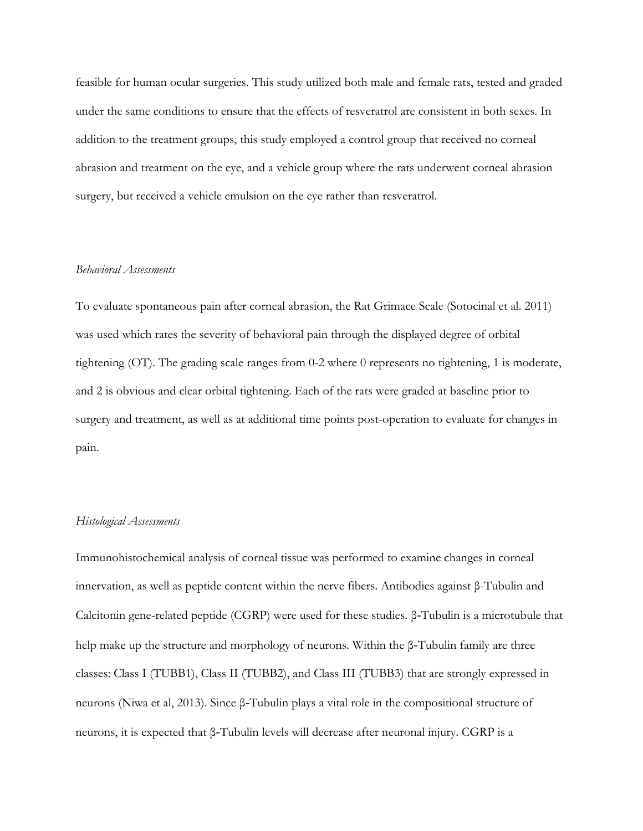feasible for human ocular surgeries. This study utilized both male and female rats, tested and graded under the same conditions to ensure that the effects of resveratrol are consistent in both sexes. In addition to the treatment groups, this study employed a control group that received no corneal abrasion and treatment on the eye, and a vehicle group where the rats underwent corneal abrasion surgery, but received a vehicle emulsion on the eye rather than resveratrol.

# *Behavioral Assessments*

To evaluate spontaneous pain after corneal abrasion, the Rat Grimace Scale (Sotocinal et al. 2011) was used which rates the severity of behavioral pain through the displayed degree of orbital tightening (OT). The grading scale ranges from 0-2 where 0 represents no tightening, 1 is moderate, and 2 is obvious and clear orbital tightening. Each of the rats were graded at baseline prior to surgery and treatment, as well as at additional time points post-operation to evaluate for changes in pain.

# *Histological Assessments*

Immunohistochemical analysis of corneal tissue was performed to examine changes in corneal innervation, as well as peptide content within the nerve fibers. Antibodies against β-Tubulin and Calcitonin gene-related peptide (CGRP) were used for these studies. β‐Tubulin is a microtubule that help make up the structure and morphology of neurons. Within the β‐Tubulin family are three classes: Class I (TUBB1), Class II (TUBB2), and Class III (TUBB3) that are strongly expressed in neurons (Niwa et al, 2013). Since β‐Tubulin plays a vital role in the compositional structure of neurons, it is expected that β‐Tubulin levels will decrease after neuronal injury. CGRP is a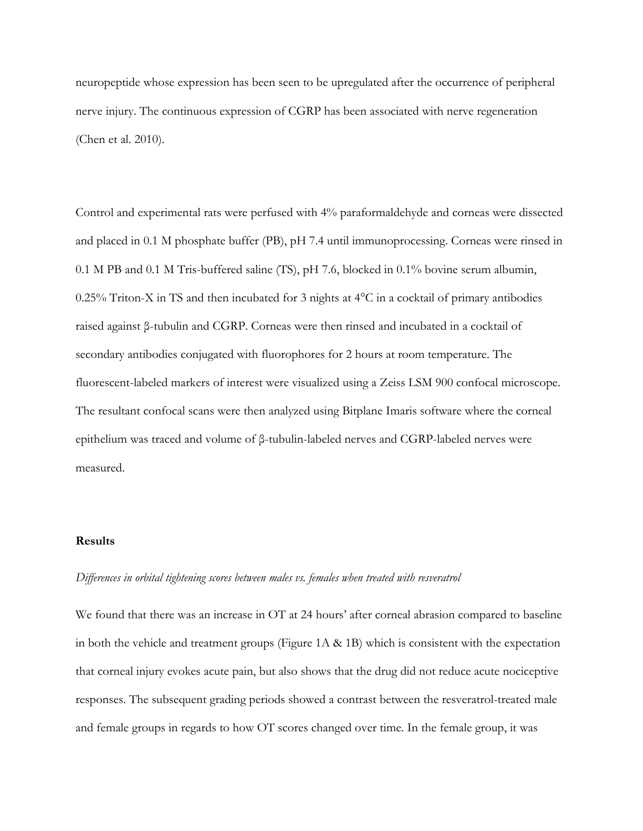neuropeptide whose expression has been seen to be upregulated after the occurrence of peripheral nerve injury. The continuous expression of CGRP has been associated with nerve regeneration (Chen et al. 2010).

Control and experimental rats were perfused with 4% paraformaldehyde and corneas were dissected and placed in 0.1 M phosphate buffer (PB), pH 7.4 until immunoprocessing. Corneas were rinsed in 0.1 M PB and 0.1 M Tris-buffered saline (TS), pH 7.6, blocked in 0.1% bovine serum albumin, 0.25% Triton-X in TS and then incubated for 3 nights at 4°C in a cocktail of primary antibodies raised against β-tubulin and CGRP. Corneas were then rinsed and incubated in a cocktail of secondary antibodies conjugated with fluorophores for 2 hours at room temperature. The fluorescent-labeled markers of interest were visualized using a Zeiss LSM 900 confocal microscope. The resultant confocal scans were then analyzed using Bitplane Imaris software where the corneal epithelium was traced and volume of β-tubulin-labeled nerves and CGRP-labeled nerves were measured.

# **Results**

# *Differences in orbital tightening scores between males vs. females when treated with resveratrol*

We found that there was an increase in OT at 24 hours' after corneal abrasion compared to baseline in both the vehicle and treatment groups (Figure  $1A \& 1B$ ) which is consistent with the expectation that corneal injury evokes acute pain, but also shows that the drug did not reduce acute nociceptive responses. The subsequent grading periods showed a contrast between the resveratrol-treated male and female groups in regards to how OT scores changed over time. In the female group, it was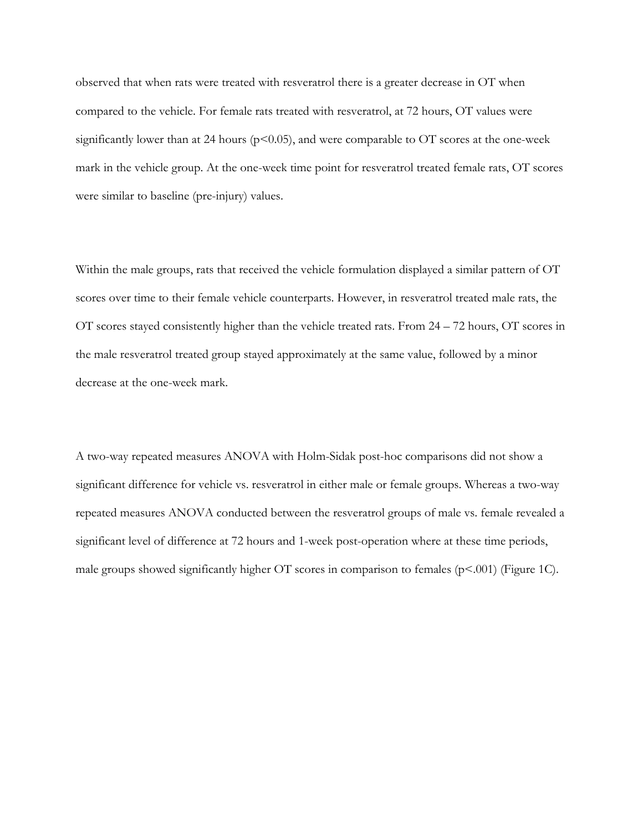observed that when rats were treated with resveratrol there is a greater decrease in OT when compared to the vehicle. For female rats treated with resveratrol, at 72 hours, OT values were significantly lower than at 24 hours ( $p$ <0.05), and were comparable to OT scores at the one-week mark in the vehicle group. At the one-week time point for resveratrol treated female rats, OT scores were similar to baseline (pre-injury) values.

Within the male groups, rats that received the vehicle formulation displayed a similar pattern of OT scores over time to their female vehicle counterparts. However, in resveratrol treated male rats, the OT scores stayed consistently higher than the vehicle treated rats. From 24 – 72 hours, OT scores in the male resveratrol treated group stayed approximately at the same value, followed by a minor decrease at the one-week mark.

A two-way repeated measures ANOVA with Holm-Sidak post-hoc comparisons did not show a significant difference for vehicle vs. resveratrol in either male or female groups. Whereas a two-way repeated measures ANOVA conducted between the resveratrol groups of male vs. female revealed a significant level of difference at 72 hours and 1-week post-operation where at these time periods, male groups showed significantly higher OT scores in comparison to females ( $p<001$ ) (Figure 1C).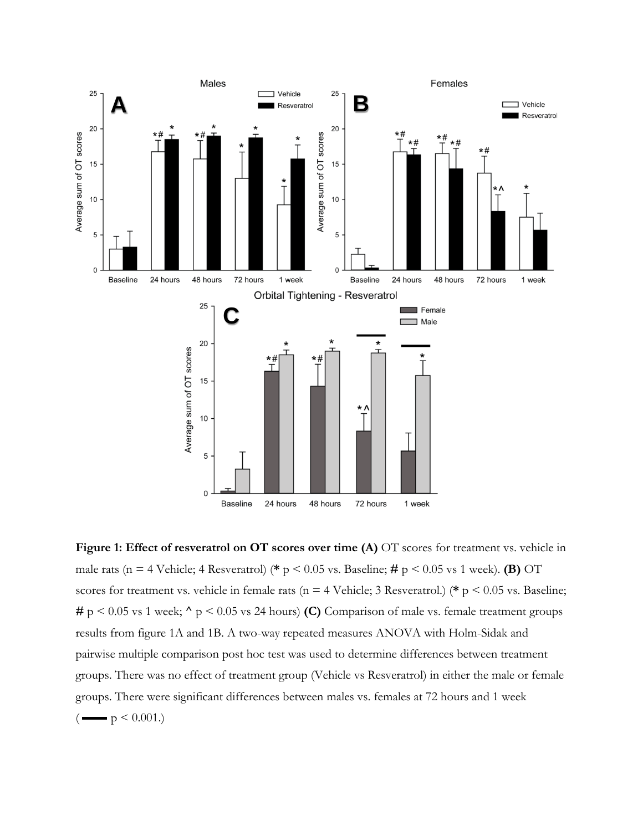

**Figure 1: Effect of resveratrol on OT scores over time (A)** OT scores for treatment vs. vehicle in male rats (n = 4 Vehicle; 4 Resveratrol) (**\*** p < 0.05 vs. Baseline; **#** p < 0.05 vs 1 week). **(B)** OT scores for treatment vs. vehicle in female rats (n = 4 Vehicle; 3 Resveratrol.) (**\*** p < 0.05 vs. Baseline; **#** p < 0.05 vs 1 week; **^** p < 0.05 vs 24 hours) **(C)** Comparison of male vs. female treatment groups results from figure 1A and 1B. A two-way repeated measures ANOVA with Holm-Sidak and pairwise multiple comparison post hoc test was used to determine differences between treatment groups. There was no effect of treatment group (Vehicle vs Resveratrol) in either the male or female groups. There were significant differences between males vs. females at 72 hours and 1 week  $\left(\frac{m}{p} < 0.001\right)$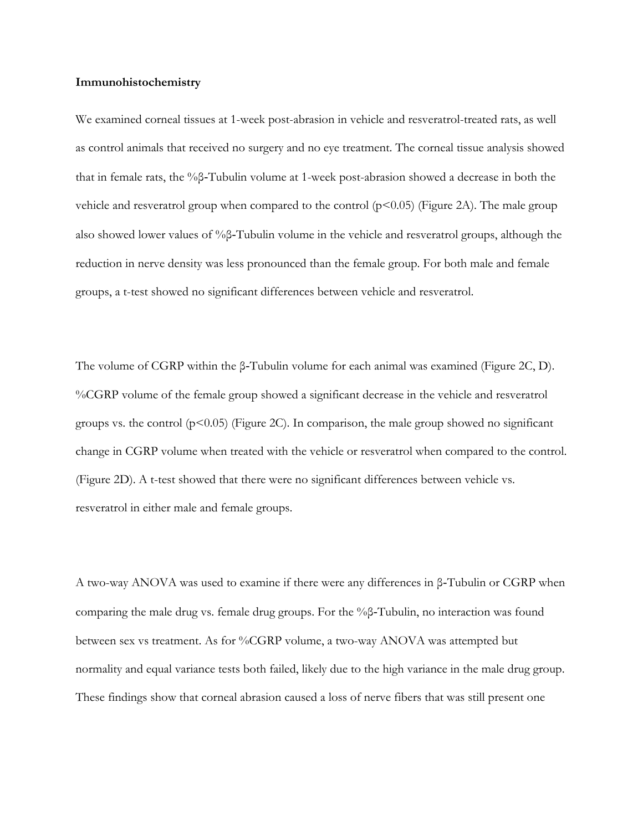## **Immunohistochemistry**

We examined corneal tissues at 1-week post-abrasion in vehicle and resveratrol-treated rats, as well as control animals that received no surgery and no eye treatment. The corneal tissue analysis showed that in female rats, the %β‐Tubulin volume at 1-week post-abrasion showed a decrease in both the vehicle and resveratrol group when compared to the control  $(p<0.05)$  (Figure 2A). The male group also showed lower values of %β‐Tubulin volume in the vehicle and resveratrol groups, although the reduction in nerve density was less pronounced than the female group. For both male and female groups, a t-test showed no significant differences between vehicle and resveratrol.

The volume of CGRP within the β‐Tubulin volume for each animal was examined (Figure 2C, D). %CGRP volume of the female group showed a significant decrease in the vehicle and resveratrol groups vs. the control  $(p<0.05)$  (Figure 2C). In comparison, the male group showed no significant change in CGRP volume when treated with the vehicle or resveratrol when compared to the control. (Figure 2D). A t-test showed that there were no significant differences between vehicle vs. resveratrol in either male and female groups.

A two-way ANOVA was used to examine if there were any differences in β‐Tubulin or CGRP when comparing the male drug vs. female drug groups. For the %β‐Tubulin, no interaction was found between sex vs treatment. As for %CGRP volume, a two-way ANOVA was attempted but normality and equal variance tests both failed, likely due to the high variance in the male drug group. These findings show that corneal abrasion caused a loss of nerve fibers that was still present one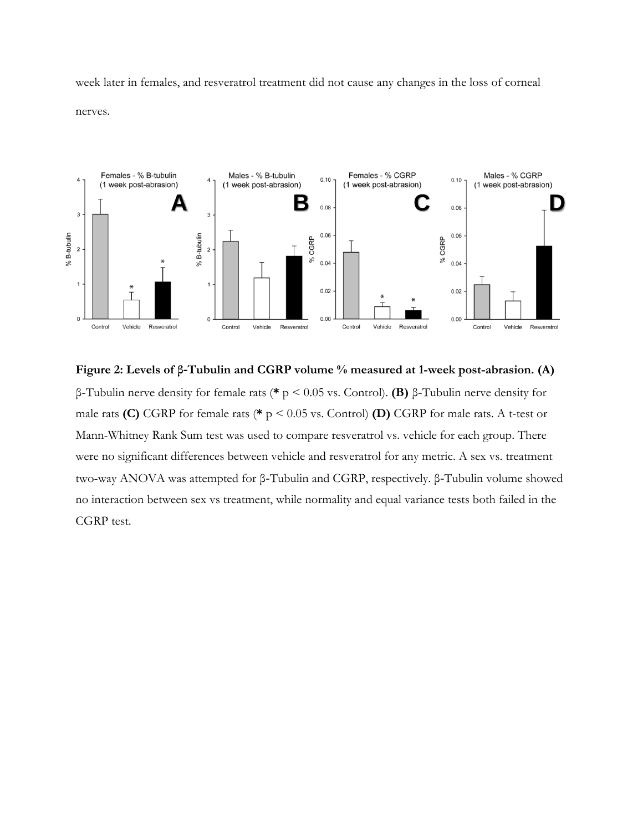week later in females, and resveratrol treatment did not cause any changes in the loss of corneal nerves.



**Figure 2: Levels of β‐Tubulin and CGRP volume % measured at 1-week post-abrasion. (A)** β‐Tubulin nerve density for female rats (**\*** p < 0.05 vs. Control). **(B)** β‐Tubulin nerve density for male rats **(C)** CGRP for female rats (**\*** p < 0.05 vs. Control) **(D)** CGRP for male rats. A t-test or Mann-Whitney Rank Sum test was used to compare resveratrol vs. vehicle for each group. There were no significant differences between vehicle and resveratrol for any metric. A sex vs. treatment two-way ANOVA was attempted for β‐Tubulin and CGRP, respectively. β‐Tubulin volume showed no interaction between sex vs treatment, while normality and equal variance tests both failed in the CGRP test.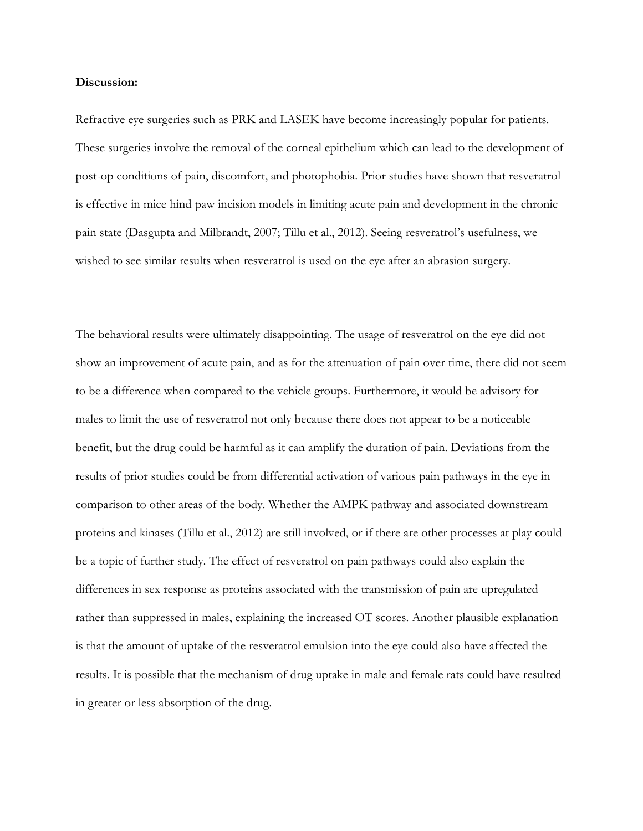## **Discussion:**

Refractive eye surgeries such as PRK and LASEK have become increasingly popular for patients. These surgeries involve the removal of the corneal epithelium which can lead to the development of post-op conditions of pain, discomfort, and photophobia. Prior studies have shown that resveratrol is effective in mice hind paw incision models in limiting acute pain and development in the chronic pain state (Dasgupta and Milbrandt, 2007; Tillu et al., 2012). Seeing resveratrol's usefulness, we wished to see similar results when resveratrol is used on the eye after an abrasion surgery.

The behavioral results were ultimately disappointing. The usage of resveratrol on the eye did not show an improvement of acute pain, and as for the attenuation of pain over time, there did not seem to be a difference when compared to the vehicle groups. Furthermore, it would be advisory for males to limit the use of resveratrol not only because there does not appear to be a noticeable benefit, but the drug could be harmful as it can amplify the duration of pain. Deviations from the results of prior studies could be from differential activation of various pain pathways in the eye in comparison to other areas of the body. Whether the AMPK pathway and associated downstream proteins and kinases (Tillu et al., 2012) are still involved, or if there are other processes at play could be a topic of further study. The effect of resveratrol on pain pathways could also explain the differences in sex response as proteins associated with the transmission of pain are upregulated rather than suppressed in males, explaining the increased OT scores. Another plausible explanation is that the amount of uptake of the resveratrol emulsion into the eye could also have affected the results. It is possible that the mechanism of drug uptake in male and female rats could have resulted in greater or less absorption of the drug.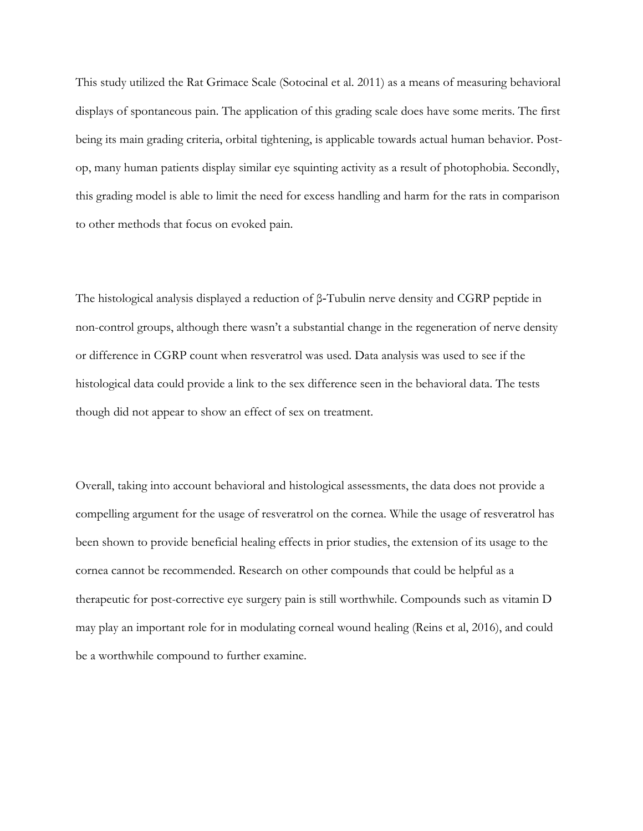This study utilized the Rat Grimace Scale (Sotocinal et al. 2011) as a means of measuring behavioral displays of spontaneous pain. The application of this grading scale does have some merits. The first being its main grading criteria, orbital tightening, is applicable towards actual human behavior. Postop, many human patients display similar eye squinting activity as a result of photophobia. Secondly, this grading model is able to limit the need for excess handling and harm for the rats in comparison to other methods that focus on evoked pain.

The histological analysis displayed a reduction of β‐Tubulin nerve density and CGRP peptide in non-control groups, although there wasn't a substantial change in the regeneration of nerve density or difference in CGRP count when resveratrol was used. Data analysis was used to see if the histological data could provide a link to the sex difference seen in the behavioral data. The tests though did not appear to show an effect of sex on treatment.

Overall, taking into account behavioral and histological assessments, the data does not provide a compelling argument for the usage of resveratrol on the cornea. While the usage of resveratrol has been shown to provide beneficial healing effects in prior studies, the extension of its usage to the cornea cannot be recommended. Research on other compounds that could be helpful as a therapeutic for post-corrective eye surgery pain is still worthwhile. Compounds such as vitamin D may play an important role for in modulating corneal wound healing (Reins et al, 2016), and could be a worthwhile compound to further examine.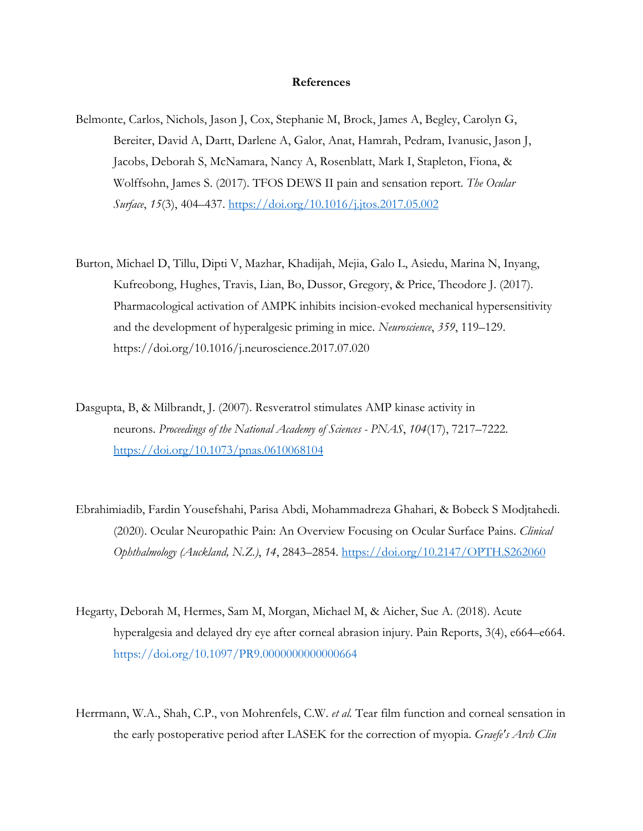#### **References**

- Belmonte, Carlos, Nichols, Jason J, Cox, Stephanie M, Brock, James A, Begley, Carolyn G, Bereiter, David A, Dartt, Darlene A, Galor, Anat, Hamrah, Pedram, Ivanusic, Jason J, Jacobs, Deborah S, McNamara, Nancy A, Rosenblatt, Mark I, Stapleton, Fiona, & Wolffsohn, James S. (2017). TFOS DEWS II pain and sensation report. *The Ocular Surface*, *15*(3), 404–437.<https://doi.org/10.1016/j.jtos.2017.05.002>
- Burton, Michael D, Tillu, Dipti V, Mazhar, Khadijah, Mejia, Galo L, Asiedu, Marina N, Inyang, Kufreobong, Hughes, Travis, Lian, Bo, Dussor, Gregory, & Price, Theodore J. (2017). Pharmacological activation of AMPK inhibits incision-evoked mechanical hypersensitivity and the development of hyperalgesic priming in mice. *Neuroscience*, *359*, 119–129. https://doi.org/10.1016/j.neuroscience.2017.07.020
- Dasgupta, B, & Milbrandt, J. (2007). Resveratrol stimulates AMP kinase activity in neurons. *Proceedings of the National Academy of Sciences - PNAS*, *104*(17), 7217–7222. <https://doi.org/10.1073/pnas.0610068104>
- Ebrahimiadib, Fardin Yousefshahi, Parisa Abdi, Mohammadreza Ghahari, & Bobeck S Modjtahedi. (2020). Ocular Neuropathic Pain: An Overview Focusing on Ocular Surface Pains. *Clinical Ophthalmology (Auckland, N.Z.)*, *14*, 2843–2854.<https://doi.org/10.2147/OPTH.S262060>
- Hegarty, Deborah M, Hermes, Sam M, Morgan, Michael M, & Aicher, Sue A. (2018). Acute hyperalgesia and delayed dry eye after corneal abrasion injury. Pain Reports, 3(4), e664–e664. <https://doi.org/10.1097/PR9.0000000000000664>
- Herrmann, W.A., Shah, C.P., von Mohrenfels, C.W. *et al.* Tear film function and corneal sensation in the early postoperative period after LASEK for the correction of myopia. *Graefe's Arch Clin*